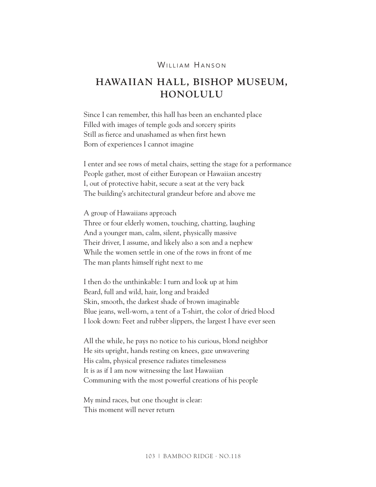## WILLIAM HANSON

## **HAWAIIAN HALL, BISHOP MUSEUM, HONOLULU**

Since I can remember, this hall has been an enchanted place Filled with images of temple gods and sorcery spirits Still as fierce and unashamed as when first hewn Born of experiences I cannot imagine

I enter and see rows of metal chairs, setting the stage for a performance People gather, most of either European or Hawaiian ancestry I, out of protective habit, secure a seat at the very back The building's architectural grandeur before and above me

A group of Hawaiians approach Three or four elderly women, touching, chatting, laughing And a younger man, calm, silent, physically massive Their driver, I assume, and likely also a son and a nephew While the women settle in one of the rows in front of me The man plants himself right next to me

I then do the unthinkable: I turn and look up at him Beard, full and wild, hair, long and braided Skin, smooth, the darkest shade of brown imaginable Blue jeans, well-worn, a tent of a T-shirt, the color of dried blood I look down: Feet and rubber slippers, the largest I have ever seen

All the while, he pays no notice to his curious, blond neighbor He sits upright, hands resting on knees, gaze unwavering His calm, physical presence radiates timelessness It is as if I am now witnessing the last Hawaiian Communing with the most powerful creations of his people

My mind races, but one thought is clear: This moment will never return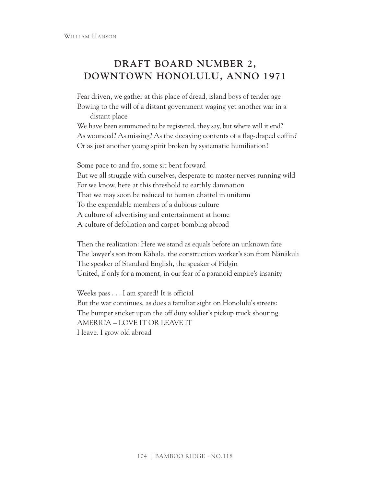## **DRAFT BOARD NUMBER 2, DOWNTOWN HONOLULU, ANNO 1971**

Fear driven, we gather at this place of dread, island boys of tender age Bowing to the will of a distant government waging yet another war in a distant place

We have been summoned to be registered, they say, but where will it end? As wounded? As missing? As the decaying contents of a flag-draped coffin? Or as just another young spirit broken by systematic humiliation?

Some pace to and fro, some sit bent forward But we all struggle with ourselves, desperate to master nerves running wild For we know, here at this threshold to earthly damnation That we may soon be reduced to human chattel in uniform To the expendable members of a dubious culture A culture of advertising and entertainment at home A culture of defoliation and carpet-bombing abroad

Then the realization: Here we stand as equals before an unknown fate The lawyer's son from Kāhala, the construction worker's son from Nānākuli The speaker of Standard English, the speaker of Pidgin United, if only for a moment, in our fear of a paranoid empire's insanity

Weeks pass . . . I am spared! It is official But the war continues, as does a familiar sight on Honolulu's streets: The bumper sticker upon the off duty soldier's pickup truck shouting AMERICA – LOVE IT OR LEAVE IT I leave. I grow old abroad